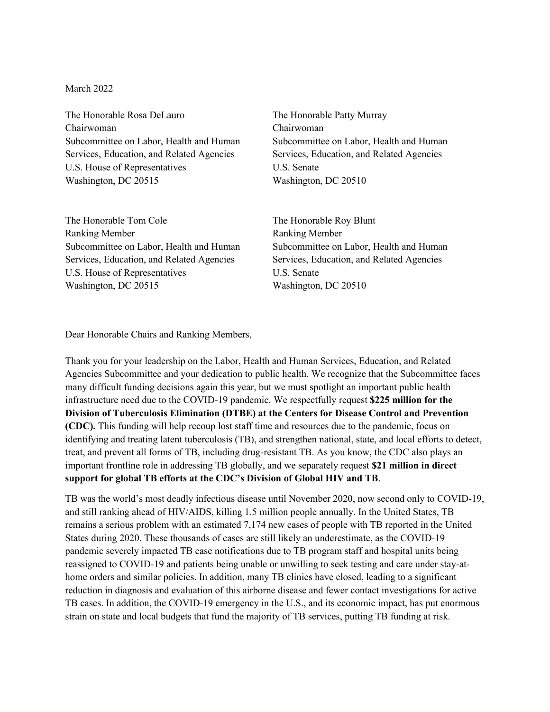## March 2022

The Honorable Rosa DeLauro Chairwoman Subcommittee on Labor, Health and Human Services, Education, and Related Agencies U.S. House of Representatives Washington, DC 20515

Subcommittee on Labor, Health and Human Services, Education, and Related Agencies U.S. Senate Washington, DC 20510

The Honorable Patty Murray

Chairwoman

The Honorable Tom Cole Ranking Member Subcommittee on Labor, Health and Human Services, Education, and Related Agencies U.S. House of Representatives Washington, DC 20515

The Honorable Roy Blunt Ranking Member Subcommittee on Labor, Health and Human Services, Education, and Related Agencies U.S. Senate Washington, DC 20510

Dear Honorable Chairs and Ranking Members,

Thank you for your leadership on the Labor, Health and Human Services, Education, and Related Agencies Subcommittee and your dedication to public health. We recognize that the Subcommittee faces many difficult funding decisions again this year, but we must spotlight an important public health infrastructure need due to the COVID-19 pandemic. We respectfully request **\$225 million for the Division of Tuberculosis Elimination (DTBE) at the Centers for Disease Control and Prevention (CDC).** This funding will help recoup lost staff time and resources due to the pandemic, focus on identifying and treating latent tuberculosis (TB), and strengthen national, state, and local efforts to detect, treat, and prevent all forms of TB, including drug-resistant TB. As you know, the CDC also plays an important frontline role in addressing TB globally, and we separately request **\$21 million in direct support for global TB efforts at the CDC's Division of Global HIV and TB**.

TB was the world's most deadly infectious disease until November 2020, now second only to COVID-19, and still ranking ahead of HIV/AIDS, killing 1.5 million people annually. In the United States, TB remains a serious problem with an estimated 7,174 new cases of people with TB reported in the United States during 2020. These thousands of cases are still likely an underestimate, as the COVID-19 pandemic severely impacted TB case notifications due to TB program staff and hospital units being reassigned to COVID-19 and patients being unable or unwilling to seek testing and care under stay-athome orders and similar policies. In addition, many TB clinics have closed, leading to a significant reduction in diagnosis and evaluation of this airborne disease and fewer contact investigations for active TB cases. In addition, the COVID-19 emergency in the U.S., and its economic impact, has put enormous strain on state and local budgets that fund the majority of TB services, putting TB funding at risk.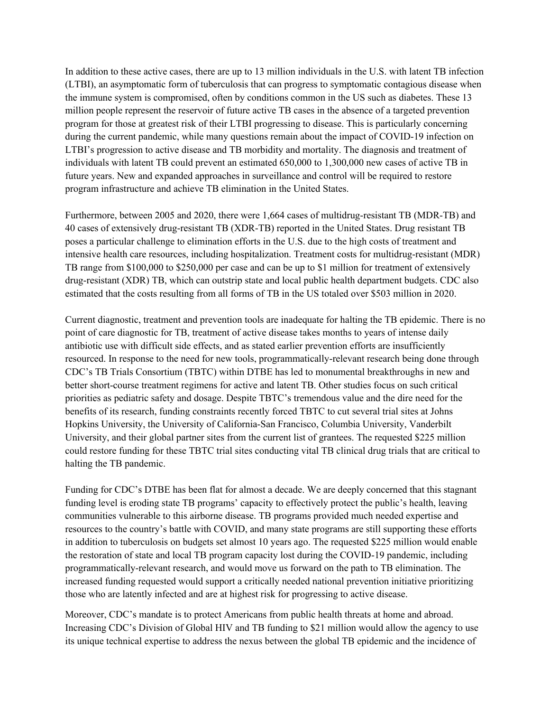In addition to these active cases, there are up to 13 million individuals in the U.S. with latent TB infection (LTBI), an asymptomatic form of tuberculosis that can progress to symptomatic contagious disease when the immune system is compromised, often by conditions common in the US such as diabetes. These 13 million people represent the reservoir of future active TB cases in the absence of a targeted prevention program for those at greatest risk of their LTBI progressing to disease. This is particularly concerning during the current pandemic, while many questions remain about the impact of COVID-19 infection on LTBI's progression to active disease and TB morbidity and mortality. The diagnosis and treatment of individuals with latent TB could prevent an estimated 650,000 to 1,300,000 new cases of active TB in future years. New and expanded approaches in surveillance and control will be required to restore program infrastructure and achieve TB elimination in the United States.

Furthermore, between 2005 and 2020, there were 1,664 cases of multidrug-resistant TB (MDR-TB) and 40 cases of extensively drug-resistant TB (XDR-TB) reported in the United States. Drug resistant TB poses a particular challenge to elimination efforts in the U.S. due to the high costs of treatment and intensive health care resources, including hospitalization. Treatment costs for multidrug-resistant (MDR) TB range from \$100,000 to \$250,000 per case and can be up to \$1 million for treatment of extensively drug-resistant (XDR) TB, which can outstrip state and local public health department budgets. CDC also estimated that the costs resulting from all forms of TB in the US totaled over \$503 million in 2020.

Current diagnostic, treatment and prevention tools are inadequate for halting the TB epidemic. There is no point of care diagnostic for TB, treatment of active disease takes months to years of intense daily antibiotic use with difficult side effects, and as stated earlier prevention efforts are insufficiently resourced. In response to the need for new tools, programmatically-relevant research being done through CDC's TB Trials Consortium (TBTC) within DTBE has led to monumental breakthroughs in new and better short-course treatment regimens for active and latent TB. Other studies focus on such critical priorities as pediatric safety and dosage. Despite TBTC's tremendous value and the dire need for the benefits of its research, funding constraints recently forced TBTC to cut several trial sites at Johns Hopkins University, the University of California-San Francisco, Columbia University, Vanderbilt University, and their global partner sites from the current list of grantees. The requested \$225 million could restore funding for these TBTC trial sites conducting vital TB clinical drug trials that are critical to halting the TB pandemic.

Funding for CDC's DTBE has been flat for almost a decade. We are deeply concerned that this stagnant funding level is eroding state TB programs' capacity to effectively protect the public's health, leaving communities vulnerable to this airborne disease. TB programs provided much needed expertise and resources to the country's battle with COVID, and many state programs are still supporting these efforts in addition to tuberculosis on budgets set almost 10 years ago. The requested \$225 million would enable the restoration of state and local TB program capacity lost during the COVID-19 pandemic, including programmatically-relevant research, and would move us forward on the path to TB elimination. The increased funding requested would support a critically needed national prevention initiative prioritizing those who are latently infected and are at highest risk for progressing to active disease.

Moreover, CDC's mandate is to protect Americans from public health threats at home and abroad. Increasing CDC's Division of Global HIV and TB funding to \$21 million would allow the agency to use its unique technical expertise to address the nexus between the global TB epidemic and the incidence of